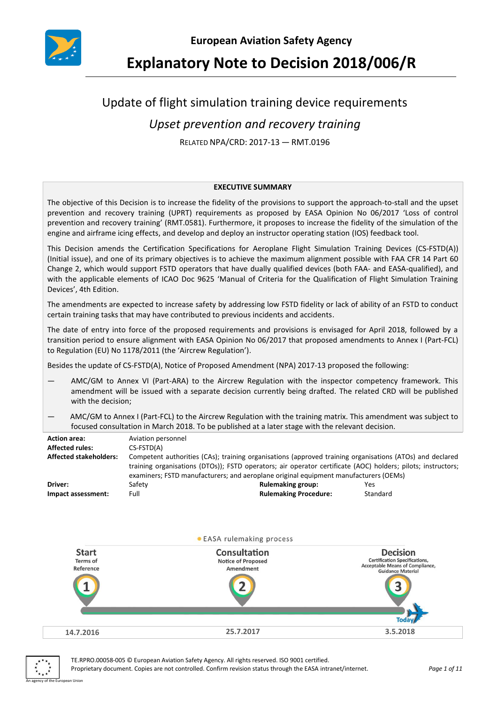

**Explanatory Note to Decision 2018/006/R**

# Update of flight simulation training device requirements

# *Upset prevention and recovery training*

RELATED NPA/CRD: 2017-13 — RMT.0196

#### **EXECUTIVE SUMMARY**

The objective of this Decision is to increase the fidelity of the provisions to support the approach-to-stall and the upset prevention and recovery training (UPRT) requirements as proposed by EASA Opinion No 06/2017 'Loss of control prevention and recovery training' (RMT.0581). Furthermore, it proposes to increase the fidelity of the simulation of the engine and airframe icing effects, and develop and deploy an instructor operating station (IOS) feedback tool.

This Decision amends the Certification Specifications for Aeroplane Flight Simulation Training Devices (CS-FSTD(A)) (Initial issue), and one of its primary objectives is to achieve the maximum alignment possible with FAA CFR 14 Part 60 Change 2, which would support FSTD operators that have dually qualified devices (both FAA- and EASA-qualified), and with the applicable elements of ICAO Doc 9625 'Manual of Criteria for the Qualification of Flight Simulation Training Devices', 4th Edition.

The amendments are expected to increase safety by addressing low FSTD fidelity or lack of ability of an FSTD to conduct certain training tasks that may have contributed to previous incidents and accidents.

The date of entry into force of the proposed requirements and provisions is envisaged for April 2018, followed by a transition period to ensure alignment with EASA Opinion No 06/2017 that proposed amendments to Annex I (Part-FCL) to Regulation (EU) No 1178/2011 (the 'Aircrew Regulation').

Besides the update of CS-FSTD(A), Notice of Proposed Amendment (NPA) 2017-13 proposed the following:

- AMC/GM to Annex VI (Part-ARA) to the Aircrew Regulation with the inspector competency framework. This amendment will be issued with a separate decision currently being drafted. The related CRD will be published with the decision;
- AMC/GM to Annex I (Part-FCL) to the Aircrew Regulation with the training matrix. This amendment was subject to focused consultation in March 2018. To be published at a later stage with the relevant decision.

| <b>Action area:</b><br><b>Affected rules:</b><br><b>Affected stakeholders:</b> | Aviation personnel<br>CS-FSTD(A)<br>Competent authorities (CAs); training organisations (approved training organisations (ATOs) and declared<br>training organisations (DTOs)); FSTD operators; air operator certificate (AOC) holders; pilots; instructors;<br>examiners; FSTD manufacturers; and aeroplane original equipment manufacturers (OEMs) |                              |          |
|--------------------------------------------------------------------------------|------------------------------------------------------------------------------------------------------------------------------------------------------------------------------------------------------------------------------------------------------------------------------------------------------------------------------------------------------|------------------------------|----------|
| Driver:                                                                        | Safety                                                                                                                                                                                                                                                                                                                                               | <b>Rulemaking group:</b>     | Yes      |
| Impact assessment:                                                             | Full                                                                                                                                                                                                                                                                                                                                                 | <b>Rulemaking Procedure:</b> | Standard |





TE.RPRO.00058-005 © European Aviation Safety Agency. All rights reserved. ISO 9001 certified. Proprietary document. Copies are not controlled. Confirm revision status through the EASA intranet/internet. *Page 1 of 11*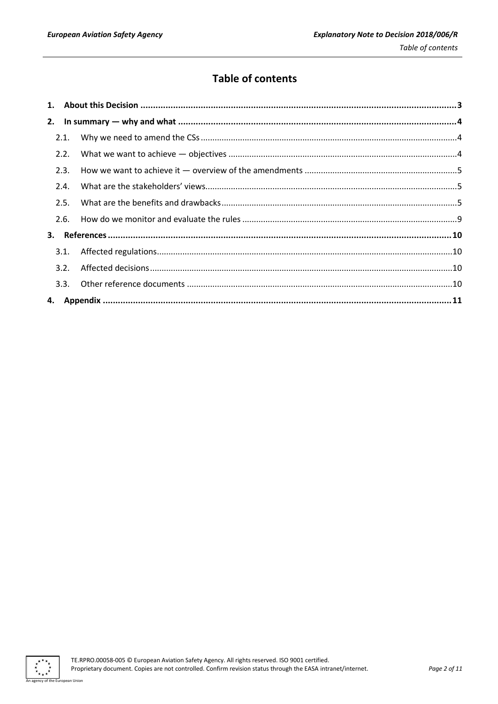## **Table of contents**

| 2.2. |  |
|------|--|
| 2.3. |  |
| 2.4. |  |
| 2.5. |  |
| 2.6. |  |
|      |  |
| 3.1. |  |
| 3.2. |  |
| 3.3. |  |
|      |  |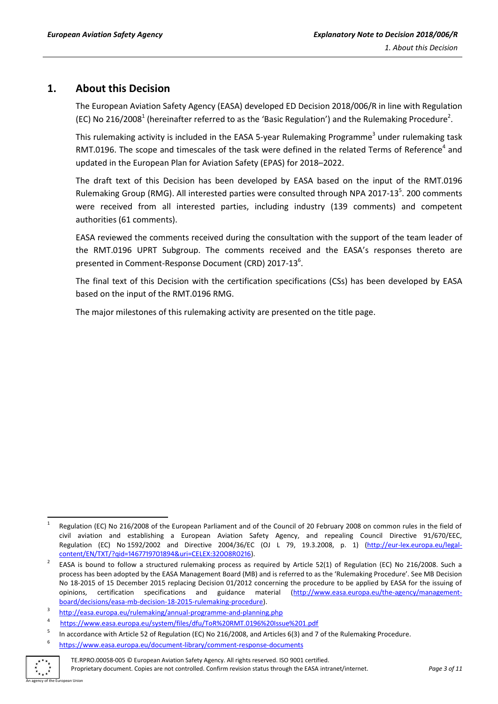## <span id="page-2-0"></span>**1. About this Decision**

The European Aviation Safety Agency (EASA) developed ED Decision 2018/006/R in line with Regulation (EC) No 216/2008<sup>1</sup> (hereinafter referred to as the 'Basic Regulation') and the Rulemaking Procedure<sup>2</sup>.

This rulemaking activity is included in the EASA 5-year Rulemaking Programme<sup>3</sup> under rulemaking task RMT.0196. The scope and timescales of the task were defined in the related Terms of Reference<sup>4</sup> and updated in the European Plan for Aviation Safety (EPAS) for 2018–2022.

The draft text of this Decision has been developed by EASA based on the input of the RMT.0196 Rulemaking Group (RMG). All interested parties were consulted through NPA 2017-13<sup>5</sup>. 200 comments were received from all interested parties, including industry (139 comments) and competent authorities (61 comments).

EASA reviewed the comments received during the consultation with the support of the team leader of the RMT.0196 UPRT Subgroup. The comments received and the EASA's responses thereto are presented in Comment-Response Document (CRD) 2017-13<sup>6</sup>.

The final text of this Decision with the certification specifications (CSs) has been developed by EASA based on the input of the RMT.0196 RMG.

The major milestones of this rulemaking activity are presented on the title page.

<sup>6</sup> <https://www.easa.europa.eu/document-library/comment-response-documents>



**<sup>.</sup>** 1 Regulation (EC) No 216/2008 of the European Parliament and of the Council of 20 February 2008 on common rules in the field of civil aviation and establishing a European Aviation Safety Agency, and repealing Council Directive 91/670/EEC, Regulation (EC) No 1592/2002 and Directive 2004/36/EC (OJ L 79, 19.3.2008, p. 1) (http://eur-[lex.europa.eu/legal](http://eur-lex.europa.eu/legal-content/EN/TXT/?qid=1467719701894&uri=CELEX:32008R0216)[content/EN/TXT/?qid=1467719701894&uri=CELEX:32008R0216\)](http://eur-lex.europa.eu/legal-content/EN/TXT/?qid=1467719701894&uri=CELEX:32008R0216).

<sup>2</sup> EASA is bound to follow a structured rulemaking process as required by Article 52(1) of Regulation (EC) No 216/2008. Such a process has been adopted by the EASA Management Board (MB) and is referred to as the 'Rulemaking Procedure'. See MB Decision No 18-2015 of 15 December 2015 replacing Decision 01/2012 concerning the procedure to be applied by EASA for the issuing of opinions, certification specifications and guidance material [\(http://www.easa.europa.eu/the-agency/management](http://www.easa.europa.eu/the-agency/management-board/decisions/easa-mb-decision-18-2015-rulemaking-procedure)[board/decisions/easa-mb-decision-18-2015-rulemaking-procedure\)](http://www.easa.europa.eu/the-agency/management-board/decisions/easa-mb-decision-18-2015-rulemaking-procedure).

<sup>3</sup> <http://easa.europa.eu/rulemaking/annual-programme-and-planning.php>

<sup>4</sup> <https://www.easa.europa.eu/system/files/dfu/ToR%20RMT.0196%20Issue%201.pdf>

<sup>5</sup> In accordance with Article 52 of Regulation (EC) No 216/2008, and Articles 6(3) and 7 of the Rulemaking Procedure.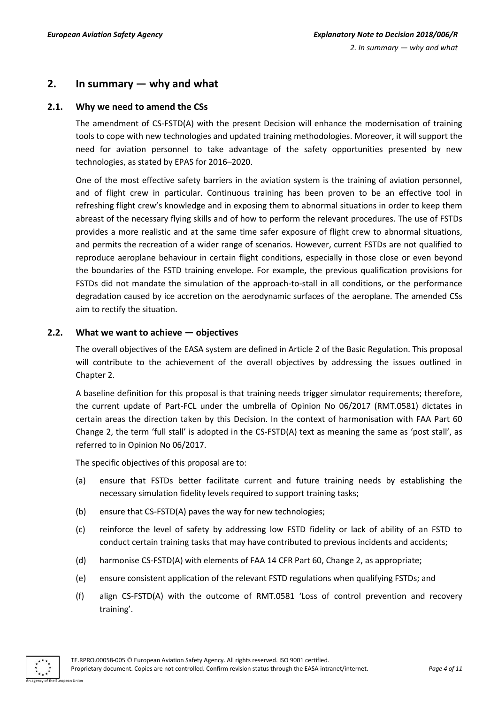## <span id="page-3-0"></span>**2. In summary — why and what**

#### <span id="page-3-1"></span>**2.1. Why we need to amend the CSs**

The amendment of CS-FSTD(A) with the present Decision will enhance the modernisation of training tools to cope with new technologies and updated training methodologies. Moreover, it will support the need for aviation personnel to take advantage of the safety opportunities presented by new technologies, as stated by EPAS for 2016–2020.

One of the most effective safety barriers in the aviation system is the training of aviation personnel, and of flight crew in particular. Continuous training has been proven to be an effective tool in refreshing flight crew's knowledge and in exposing them to abnormal situations in order to keep them abreast of the necessary flying skills and of how to perform the relevant procedures. The use of FSTDs provides a more realistic and at the same time safer exposure of flight crew to abnormal situations, and permits the recreation of a wider range of scenarios. However, current FSTDs are not qualified to reproduce aeroplane behaviour in certain flight conditions, especially in those close or even beyond the boundaries of the FSTD training envelope. For example, the previous qualification provisions for FSTDs did not mandate the simulation of the approach-to-stall in all conditions, or the performance degradation caused by ice accretion on the aerodynamic surfaces of the aeroplane. The amended CSs aim to rectify the situation.

#### <span id="page-3-2"></span>**2.2. What we want to achieve — objectives**

The overall objectives of the EASA system are defined in Article 2 of the Basic Regulation. This proposal will contribute to the achievement of the overall objectives by addressing the issues outlined in Chapter 2.

A baseline definition for this proposal is that training needs trigger simulator requirements; therefore, the current update of Part-FCL under the umbrella of Opinion No 06/2017 (RMT.0581) dictates in certain areas the direction taken by this Decision. In the context of harmonisation with FAA Part 60 Change 2, the term 'full stall' is adopted in the CS-FSTD(A) text as meaning the same as 'post stall', as referred to in Opinion No 06/2017.

The specific objectives of this proposal are to:

- (a) ensure that FSTDs better facilitate current and future training needs by establishing the necessary simulation fidelity levels required to support training tasks;
- (b) ensure that CS-FSTD(A) paves the way for new technologies;
- (c) reinforce the level of safety by addressing low FSTD fidelity or lack of ability of an FSTD to conduct certain training tasks that may have contributed to previous incidents and accidents;
- (d) harmonise CS-FSTD(A) with elements of FAA 14 CFR Part 60, Change 2, as appropriate;
- (e) ensure consistent application of the relevant FSTD regulations when qualifying FSTDs; and
- (f) align CS-FSTD(A) with the outcome of RMT.0581 'Loss of control prevention and recovery training'.

An agency of the European Union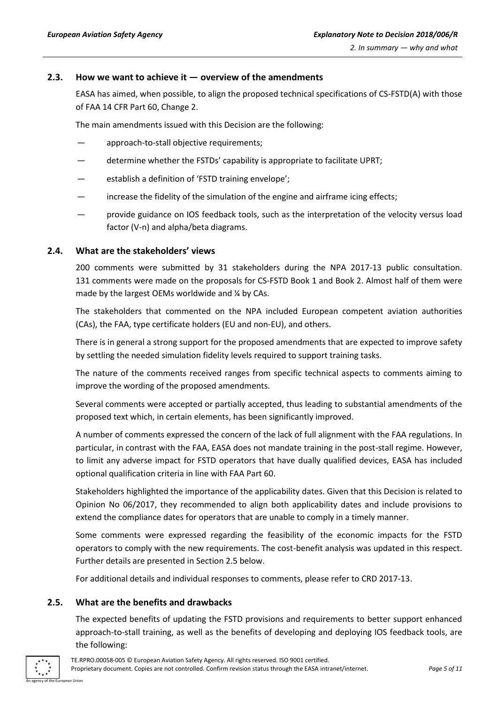#### <span id="page-4-0"></span>**2.3. How we want to achieve it — overview of the amendments**

EASA has aimed, when possible, to align the proposed technical specifications of CS-FSTD(A) with those of FAA 14 CFR Part 60, Change 2.

The main amendments issued with this Decision are the following:

- approach-to-stall objective requirements;
- determine whether the FSTDs' capability is appropriate to facilitate UPRT;
- establish a definition of 'FSTD training envelope';
- increase the fidelity of the simulation of the engine and airframe icing effects;
- provide guidance on IOS feedback tools, such as the interpretation of the velocity versus load factor (V-n) and alpha/beta diagrams.

#### <span id="page-4-1"></span>**2.4. What are the stakeholders' views**

200 comments were submitted by 31 stakeholders during the NPA 2017-13 public consultation. 131 comments were made on the proposals for CS-FSTD Book 1 and Book 2. Almost half of them were made by the largest OEMs worldwide and ¼ by CAs.

The stakeholders that commented on the NPA included European competent aviation authorities (CAs), the FAA, type certificate holders (EU and non-EU), and others.

There is in general a strong support for the proposed amendments that are expected to improve safety by settling the needed simulation fidelity levels required to support training tasks.

The nature of the comments received ranges from specific technical aspects to comments aiming to improve the wording of the proposed amendments.

Several comments were accepted or partially accepted, thus leading to substantial amendments of the proposed text which, in certain elements, has been significantly improved.

A number of comments expressed the concern of the lack of full alignment with the FAA regulations. In particular, in contrast with the FAA, EASA does not mandate training in the post-stall regime. However, to limit any adverse impact for FSTD operators that have dually qualified devices, EASA has included optional qualification criteria in line with FAA Part 60.

Stakeholders highlighted the importance of the applicability dates. Given that this Decision is related to Opinion No 06/2017, they recommended to align both applicability dates and include provisions to extend the compliance dates for operators that are unable to comply in a timely manner.

Some comments were expressed regarding the feasibility of the economic impacts for the FSTD operators to comply with the new requirements. The cost-benefit analysis was updated in this respect. Further details are presented in Section 2.5 below.

For additional details and individual responses to comments, please refer to CRD 2017-13.

#### <span id="page-4-2"></span>**2.5. What are the benefits and drawbacks**

The expected benefits of updating the FSTD provisions and requirements to better support enhanced approach-to-stall training, as well as the benefits of developing and deploying IOS feedback tools, are the following:

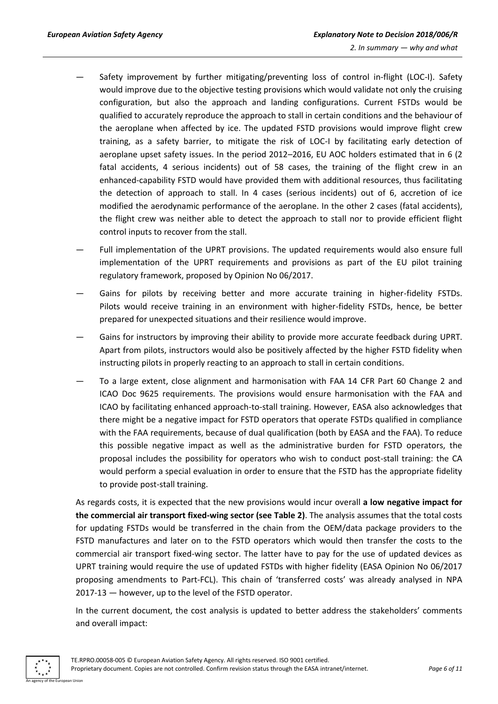- Safety improvement by further mitigating/preventing loss of control in-flight (LOC-I). Safety would improve due to the objective testing provisions which would validate not only the cruising configuration, but also the approach and landing configurations. Current FSTDs would be qualified to accurately reproduce the approach to stall in certain conditions and the behaviour of the aeroplane when affected by ice. The updated FSTD provisions would improve flight crew training, as a safety barrier, to mitigate the risk of LOC-I by facilitating early detection of aeroplane upset safety issues. In the period 2012–2016, EU AOC holders estimated that in 6 (2 fatal accidents, 4 serious incidents) out of 58 cases, the training of the flight crew in an enhanced-capability FSTD would have provided them with additional resources, thus facilitating the detection of approach to stall. In 4 cases (serious incidents) out of 6, accretion of ice modified the aerodynamic performance of the aeroplane. In the other 2 cases (fatal accidents), the flight crew was neither able to detect the approach to stall nor to provide efficient flight control inputs to recover from the stall.
- Full implementation of the UPRT provisions. The updated requirements would also ensure full implementation of the UPRT requirements and provisions as part of the EU pilot training regulatory framework, proposed by Opinion No 06/2017.
- Gains for pilots by receiving better and more accurate training in higher-fidelity FSTDs. Pilots would receive training in an environment with higher-fidelity FSTDs, hence, be better prepared for unexpected situations and their resilience would improve.
- Gains for instructors by improving their ability to provide more accurate feedback during UPRT. Apart from pilots, instructors would also be positively affected by the higher FSTD fidelity when instructing pilots in properly reacting to an approach to stall in certain conditions.
- To a large extent, close alignment and harmonisation with FAA 14 CFR Part 60 Change 2 and ICAO Doc 9625 requirements. The provisions would ensure harmonisation with the FAA and ICAO by facilitating enhanced approach-to-stall training. However, EASA also acknowledges that there might be a negative impact for FSTD operators that operate FSTDs qualified in compliance with the FAA requirements, because of dual qualification (both by EASA and the FAA). To reduce this possible negative impact as well as the administrative burden for FSTD operators, the proposal includes the possibility for operators who wish to conduct post-stall training: the CA would perform a special evaluation in order to ensure that the FSTD has the appropriate fidelity to provide post-stall training.

As regards costs, it is expected that the new provisions would incur overall **a low negative impact for the commercial air transport fixed-wing sector (see Table 2)**. The analysis assumes that the total costs for updating FSTDs would be transferred in the chain from the OEM/data package providers to the FSTD manufactures and later on to the FSTD operators which would then transfer the costs to the commercial air transport fixed-wing sector. The latter have to pay for the use of updated devices as UPRT training would require the use of updated FSTDs with higher fidelity (EASA Opinion No 06/2017 proposing amendments to Part-FCL). This chain of 'transferred costs' was already analysed in NPA 2017-13 — however, up to the level of the FSTD operator.

In the current document, the cost analysis is updated to better address the stakeholders' comments and overall impact:

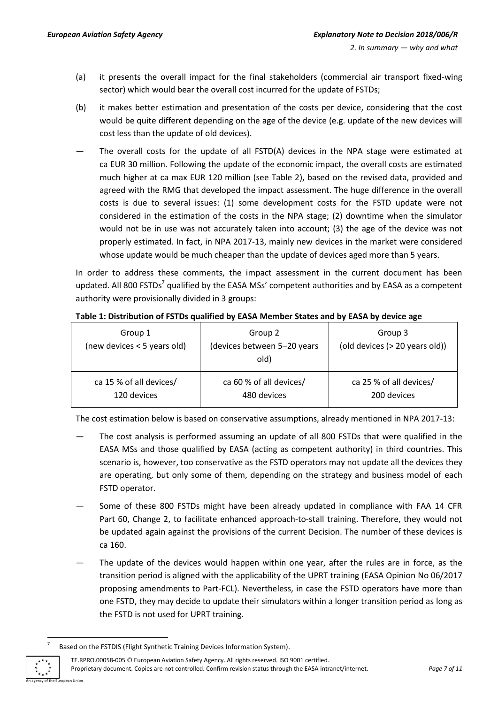- (a) it presents the overall impact for the final stakeholders (commercial air transport fixed-wing sector) which would bear the overall cost incurred for the update of FSTDs;
- (b) it makes better estimation and presentation of the costs per device, considering that the cost would be quite different depending on the age of the device (e.g. update of the new devices will cost less than the update of old devices).
- The overall costs for the update of all FSTD(A) devices in the NPA stage were estimated at ca EUR 30 million. Following the update of the economic impact, the overall costs are estimated much higher at ca max EUR 120 million (see Table 2), based on the revised data, provided and agreed with the RMG that developed the impact assessment. The huge difference in the overall costs is due to several issues: (1) some development costs for the FSTD update were not considered in the estimation of the costs in the NPA stage; (2) downtime when the simulator would not be in use was not accurately taken into account; (3) the age of the device was not properly estimated. In fact, in NPA 2017-13, mainly new devices in the market were considered whose update would be much cheaper than the update of devices aged more than 5 years.

In order to address these comments, the impact assessment in the current document has been updated. All 800 FSTDs<sup>7</sup> qualified by the EASA MSs' competent authorities and by EASA as a competent authority were provisionally divided in 3 groups:

| Group 1<br>(new devices < 5 years old) | Group 2<br>(devices between 5-20 years<br>old) | Group 3<br>(old devices (> 20 years old)) |
|----------------------------------------|------------------------------------------------|-------------------------------------------|
| ca 15 % of all devices/                | ca 60 % of all devices/                        | ca 25 % of all devices/                   |
| 120 devices                            | 480 devices                                    | 200 devices                               |

#### **Table 1: Distribution of FSTDs qualified by EASA Member States and by EASA by device age**

The cost estimation below is based on conservative assumptions, already mentioned in NPA 2017-13:

- The cost analysis is performed assuming an update of all 800 FSTDs that were qualified in the EASA MSs and those qualified by EASA (acting as competent authority) in third countries. This scenario is, however, too conservative as the FSTD operators may not update all the devices they are operating, but only some of them, depending on the strategy and business model of each FSTD operator.
- Some of these 800 FSTDs might have been already updated in compliance with FAA 14 CFR Part 60, Change 2, to facilitate enhanced approach-to-stall training. Therefore, they would not be updated again against the provisions of the current Decision. The number of these devices is ca 160.
- The update of the devices would happen within one year, after the rules are in force, as the transition period is aligned with the applicability of the UPRT training (EASA Opinion No 06/2017 proposing amendments to Part-FCL). Nevertheless, in case the FSTD operators have more than one FSTD, they may decide to update their simulators within a longer transition period as long as the FSTD is not used for UPRT training.

TE.RPRO.00058-005 © European Aviation Safety Agency. All rights reserved. ISO 9001 certified. Proprietary document. Copies are not controlled. Confirm revision status through the EASA intranet/internet. *Page 7 of 11*



**.** 7

Based on the FSTDIS (Flight Synthetic Training Devices Information System).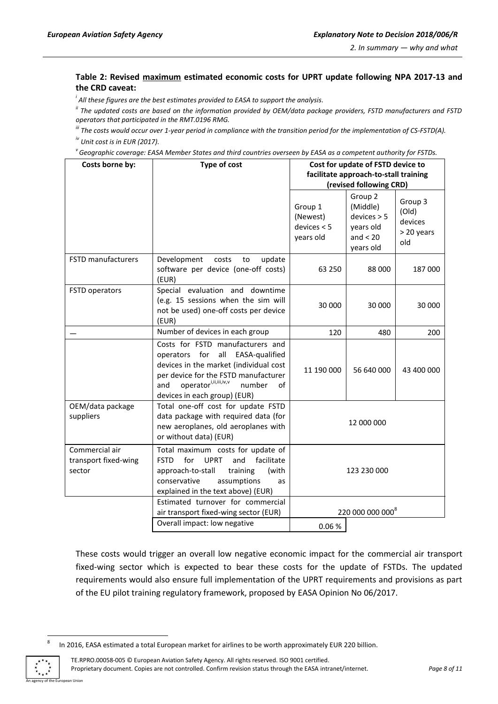#### **Table 2: Revised maximum estimated economic costs for UPRT update following NPA 2017-13 and the CRD caveat:**

*i All these figures are the best estimates provided to EASA to support the analysis.*

*ii The updated costs are based on the information provided by OEM/data package providers, FSTD manufacturers and FSTD operators that participated in the RMT.0196 RMG.*

*iii The costs would occur over 1-year period in compliance with the transition period for the implementation of CS-FSTD(A). iv Unit cost is in EUR (2017).*

*v Geographic coverage: EASA Member States and third countries overseen by EASA as a competent authority for FSTDs.*

| Costs borne by:                                  | <b>Type of cost</b>                                                                                                                                                                                                                       | Cost for update of FSTD device to<br>facilitate approach-to-stall training<br>(revised following CRD) |                                                                            |                                                  |  |  |  |
|--------------------------------------------------|-------------------------------------------------------------------------------------------------------------------------------------------------------------------------------------------------------------------------------------------|-------------------------------------------------------------------------------------------------------|----------------------------------------------------------------------------|--------------------------------------------------|--|--|--|
|                                                  |                                                                                                                                                                                                                                           | Group 1<br>(Newest)<br>devices < 5<br>years old                                                       | Group 2<br>(Middle)<br>devices > 5<br>years old<br>and $<$ 20<br>years old | Group 3<br>(Old)<br>devices<br>> 20 years<br>old |  |  |  |
| <b>FSTD manufacturers</b>                        | Development<br>update<br>costs<br>to<br>software per device (one-off costs)<br>(EUR)                                                                                                                                                      | 63 250                                                                                                | 88 000<br>187 000                                                          |                                                  |  |  |  |
| FSTD operators                                   | Special evaluation and downtime<br>(e.g. 15 sessions when the sim will<br>not be used) one-off costs per device<br>(EUR)                                                                                                                  | 30 000<br>30 000<br>30 000                                                                            |                                                                            |                                                  |  |  |  |
|                                                  | Number of devices in each group                                                                                                                                                                                                           | 120                                                                                                   | 200                                                                        |                                                  |  |  |  |
|                                                  | Costs for FSTD manufacturers and<br>operators for<br>all EASA-qualified<br>devices in the market (individual cost<br>per device for the FSTD manufacturer<br>operatori,ii,iii,iv,v<br>and<br>number<br>of<br>devices in each group) (EUR) | 11 190 000                                                                                            | 56 640 000                                                                 | 43 400 000                                       |  |  |  |
| OEM/data package<br>suppliers                    | Total one-off cost for update FSTD<br>data package with required data (for<br>new aeroplanes, old aeroplanes with<br>or without data) (EUR)                                                                                               | 12 000 000                                                                                            |                                                                            |                                                  |  |  |  |
| Commercial air<br>transport fixed-wing<br>sector | Total maximum costs for update of<br><b>FSTD</b><br>for<br><b>UPRT</b><br>facilitate<br>and<br>approach-to-stall<br>training<br>(with<br>conservative<br>assumptions<br>as<br>explained in the text above) (EUR)                          | 123 230 000                                                                                           |                                                                            |                                                  |  |  |  |
|                                                  | Estimated turnover for commercial<br>air transport fixed-wing sector (EUR)                                                                                                                                                                | 220 000 000 000 <sup>8</sup>                                                                          |                                                                            |                                                  |  |  |  |
|                                                  | Overall impact: low negative                                                                                                                                                                                                              | 0.06%                                                                                                 |                                                                            |                                                  |  |  |  |

These costs would trigger an overall low negative economic impact for the commercial air transport fixed-wing sector which is expected to bear these costs for the update of FSTDs. The updated requirements would also ensure full implementation of the UPRT requirements and provisions as part of the EU pilot training regulatory framework, proposed by EASA Opinion No 06/2017.

In 2016, EASA estimated a total European market for airlines to be worth approximately EUR 220 billion.



1 8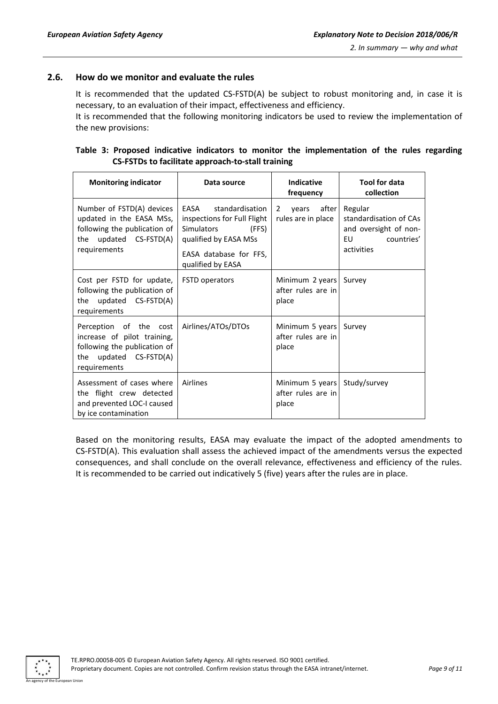#### <span id="page-8-0"></span>**2.6. How do we monitor and evaluate the rules**

It is recommended that the updated CS-FSTD(A) be subject to robust monitoring and, in case it is necessary, to an evaluation of their impact, effectiveness and efficiency.

It is recommended that the following monitoring indicators be used to review the implementation of the new provisions:

|  |                                                   |  |  | Table 3: Proposed indicative indicators to monitor the implementation of the rules regarding |  |  |
|--|---------------------------------------------------|--|--|----------------------------------------------------------------------------------------------|--|--|
|  | CS-FSTDs to facilitate approach-to-stall training |  |  |                                                                                              |  |  |

| <b>Monitoring indicator</b>                                                                                                     | Data source                                                                                                                                                  | <b>Indicative</b><br>frequency                              | <b>Tool for data</b><br>collection                                                           |  |  |
|---------------------------------------------------------------------------------------------------------------------------------|--------------------------------------------------------------------------------------------------------------------------------------------------------------|-------------------------------------------------------------|----------------------------------------------------------------------------------------------|--|--|
| Number of FSTD(A) devices<br>updated in the EASA MSs,<br>following the publication of<br>the updated CS-FSTD(A)<br>requirements | FASA<br>standardisation<br>inspections for Full Flight<br>(FFS)<br><b>Simulators</b><br>qualified by EASA MSs<br>EASA database for FFS,<br>qualified by EASA | after<br>2<br>vears<br>rules are in place                   | Regular<br>standardisation of CAs<br>and oversight of non-<br>EU<br>countries'<br>activities |  |  |
| Cost per FSTD for update,<br>following the publication of<br>updated CS-FSTD(A)<br>the<br>requirements                          | <b>FSTD operators</b>                                                                                                                                        | Minimum 2 years<br>after rules are in<br>place              | Survey                                                                                       |  |  |
| Perception of the cost<br>increase of pilot training,<br>following the publication of<br>the updated CS-FSTD(A)<br>requirements | Airlines/ATOs/DTOs                                                                                                                                           | Minimum 5 years<br>after rules are in<br>place              | Survey                                                                                       |  |  |
| Assessment of cases where<br>the flight crew detected<br>and prevented LOC-I caused<br>by ice contamination                     | Airlines                                                                                                                                                     | Minimum 5 years Study/survey<br>after rules are in<br>place |                                                                                              |  |  |

Based on the monitoring results, EASA may evaluate the impact of the adopted amendments to CS-FSTD(A). This evaluation shall assess the achieved impact of the amendments versus the expected consequences, and shall conclude on the overall relevance, effectiveness and efficiency of the rules. It is recommended to be carried out indicatively 5 (five) years after the rules are in place.

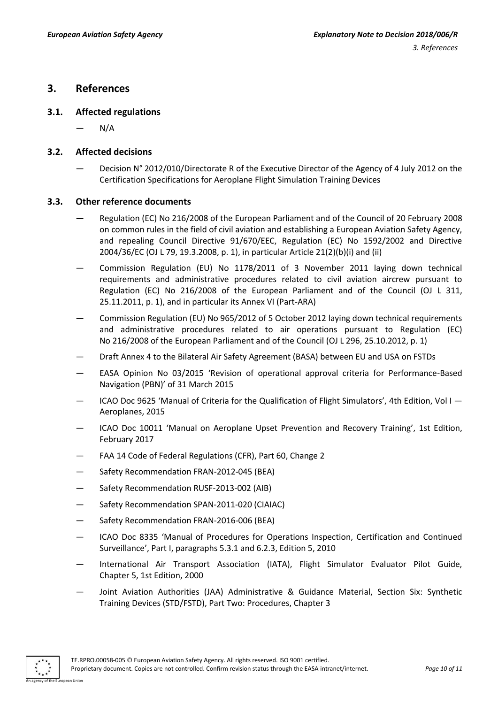### <span id="page-9-0"></span>**3. References**

#### <span id="page-9-1"></span>**3.1. Affected regulations**

 $N/A$ 

#### <span id="page-9-2"></span>**3.2. Affected decisions**

— Decision N° 2012/010/Directorate R of the Executive Director of the Agency of 4 July 2012 on the Certification Specifications for Aeroplane Flight Simulation Training Devices

#### <span id="page-9-3"></span>**3.3. Other reference documents**

- Regulation (EC) No 216/2008 of the European Parliament and of the Council of 20 February 2008 on common rules in the field of civil aviation and establishing a European Aviation Safety Agency, and repealing Council Directive 91/670/EEC, Regulation (EC) No 1592/2002 and Directive 2004/36/EC (OJ L 79, 19.3.2008, p. 1), in particular Article 21(2)(b)(i) and (ii)
- Commission Regulation (EU) No 1178/2011 of 3 November 2011 laying down technical requirements and administrative procedures related to civil aviation aircrew pursuant to Regulation (EC) No 216/2008 of the European Parliament and of the Council (OJ L 311, 25.11.2011, p. 1), and in particular its Annex VI (Part-ARA)
- Commission Regulation (EU) No 965/2012 of 5 October 2012 laying down technical requirements and administrative procedures related to air operations pursuant to Regulation (EC) No 216/2008 of the European Parliament and of the Council (OJ L 296, 25.10.2012, p. 1)
- Draft Annex 4 to the Bilateral Air Safety Agreement (BASA) between EU and USA on FSTDs
- EASA Opinion No 03/2015 'Revision of operational approval criteria for Performance-Based Navigation (PBN)' of 31 March 2015
- ICAO Doc 9625 'Manual of Criteria for the Qualification of Flight Simulators', 4th Edition, Vol I Aeroplanes, 2015
- ICAO Doc 10011 'Manual on Aeroplane Upset Prevention and Recovery Training', 1st Edition, February 2017
- FAA 14 Code of Federal Regulations (CFR), Part 60, Change 2
- Safety Recommendation FRAN-2012-045 (BEA)
- Safety Recommendation RUSF-2013-002 (AIB)
- Safety Recommendation SPAN-2011-020 (CIAIAC)
- Safety Recommendation FRAN-2016-006 (BEA)
- ICAO Doc 8335 'Manual of Procedures for Operations Inspection, Certification and Continued Surveillance', Part I, paragraphs 5.3.1 and 6.2.3, Edition 5, 2010
- International Air Transport Association (IATA), Flight Simulator Evaluator Pilot Guide, Chapter 5, 1st Edition, 2000
- Joint Aviation Authorities (JAA) Administrative & Guidance Material, Section Six: Synthetic Training Devices (STD/FSTD), Part Two: Procedures, Chapter 3

An agency of the European Union